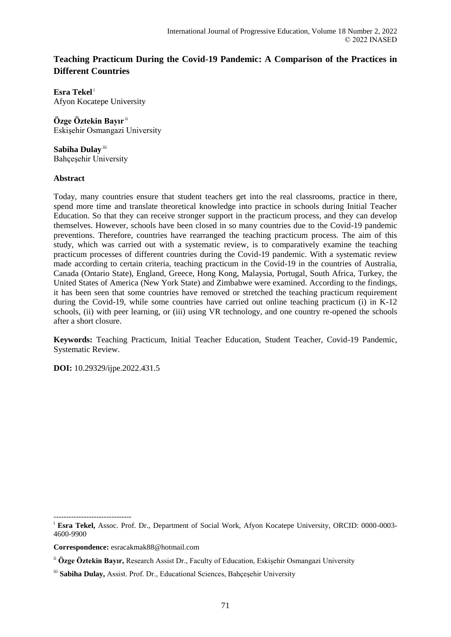# **Teaching Practicum During the Covid-19 Pandemic: A Comparison of the Practices in Different Countries**

**Esra Tekel**<sup>i</sup> Afyon Kocatepe University

**Özge Öztekin Bayır** ii Eskişehir Osmangazi University

Sabiha Dulay<sup>iii</sup> Bahçeşehir University

## **Abstract**

Today, many countries ensure that student teachers get into the real classrooms, practice in there, spend more time and translate theoretical knowledge into practice in schools during Initial Teacher Education. So that they can receive stronger support in the practicum process, and they can develop themselves. However, schools have been closed in so many countries due to the Covid-19 pandemic preventions. Therefore, countries have rearranged the teaching practicum process. The aim of this study, which was carried out with a systematic review, is to comparatively examine the teaching practicum processes of different countries during the Covid-19 pandemic. With a systematic review made according to certain criteria, teaching practicum in the Covid-19 in the countries of Australia, Canada (Ontario State), England, Greece, Hong Kong, Malaysia, Portugal, South Africa, Turkey, the United States of America (New York State) and Zimbabwe were examined. According to the findings, it has been seen that some countries have removed or stretched the teaching practicum requirement during the Covid-19, while some countries have carried out online teaching practicum (i) in K-12 schools, (ii) with peer learning, or (iii) using VR technology, and one country re-opened the schools after a short closure.

**Keywords:** Teaching Practicum, Initial Teacher Education, Student Teacher, Covid-19 Pandemic, Systematic Review.

**DOI:** 10.29329/ijpe.2022.431.5

-------------------------------

<sup>&</sup>lt;sup>i</sup> **Esra Tekel,** Assoc. Prof. Dr., Department of Social Work, Afyon Kocatepe University, ORCID: 0000-0003-4600-9900

**Correspondence:** esracakmak88@hotmail.com

ii **Özge Öztekin Bayır,** Research Assist Dr., Faculty of Education, Eskişehir Osmangazi University

iii Sabiha Dulay, Assist. Prof. Dr., Educational Sciences, Bahçeşehir University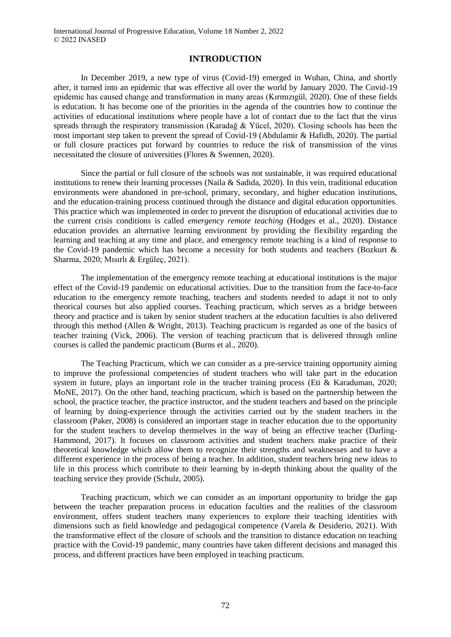## **INTRODUCTION**

In December 2019, a new type of virus (Covid-19) emerged in Wuhan, China, and shortly after, it turned into an epidemic that was effective all over the world by January 2020. The Covid-19 epidemic has caused change and transformation in many areas (Kırmızıgül, 2020). One of these fields is education. It has become one of the priorities in the agenda of the countries how to continue the activities of educational institutions where people have a lot of contact due to the fact that the virus spreads through the respiratory transmission (Karadağ & Yücel, 2020). Closing schools has been the most important step taken to prevent the spread of Covid-19 (Abdulamir & Hafidh, 2020). The partial or full closure practices put forward by countries to reduce the risk of transmission of the virus necessitated the closure of universities (Flores & Swennen, 2020).

Since the partial or full closure of the schools was not sustainable, it was required educational institutions to renew their learning processes (Naila & Sadida, 2020). In this vein, traditional education environments were abandoned in pre-school, primary, secondary, and higher education institutions, and the education-training process continued through the distance and digital education opportunities. This practice which was implemented in order to prevent the disruption of educational activities due to the current crisis conditions is called *emergency remote teaching* (Hodges et al., 2020). Distance education provides an alternative learning environment by providing the flexibility regarding the learning and teaching at any time and place, and emergency remote teaching is a kind of response to the Covid-19 pandemic which has become a necessity for both students and teachers (Bozkurt & Sharma, 2020; Mısırlı & Ergüleç, 2021).

The implementation of the emergency remote teaching at educational institutions is the major effect of the Covid-19 pandemic on educational activities. Due to the transition from the face-to-face education to the emergency remote teaching, teachers and students needed to adapt it not to only theorical courses but also applied courses. Teaching practicum, which serves as a bridge between theory and practice and is taken by senior student teachers at the education faculties is also delivered through this method (Allen & Wright, 2013). Teaching practicum is regarded as one of the basics of teacher training (Vick, 2006). The version of teaching practicum that is delivered through online courses is called the pandemic practicum (Burns et al., 2020).

The Teaching Practicum, which we can consider as a pre-service training opportunity aiming to improve the professional competencies of student teachers who will take part in the education system in future, plays an important role in the teacher training process (Eti & Karaduman, 2020; MoNE, 2017). On the other hand, teaching practicum, which is based on the partnership between the school, the practice teacher, the practice instructor, and the student teachers and based on the principle of learning by doing-experience through the activities carried out by the student teachers in the classroom (Paker, 2008) is considered an important stage in teacher education due to the opportunity for the student teachers to develop themselves in the way of being an effective teacher (Darling-Hammond, 2017). It focuses on classroom activities and student teachers make practice of their theoretical knowledge which allow them to recognize their strengths and weaknesses and to have a different experience in the process of being a teacher. In addition, student teachers bring new ideas to life in this process which contribute to their learning by in-depth thinking about the quality of the teaching service they provide (Schulz, 2005).

Teaching practicum, which we can consider as an important opportunity to bridge the gap between the teacher preparation process in education faculties and the realities of the classroom environment, offers student teachers many experiences to explore their teaching identities with dimensions such as field knowledge and pedagogical competence (Varela & Desiderio, 2021). With the transformative effect of the closure of schools and the transition to distance education on teaching practice with the Covid-19 pandemic, many countries have taken different decisions and managed this process, and different practices have been employed in teaching practicum.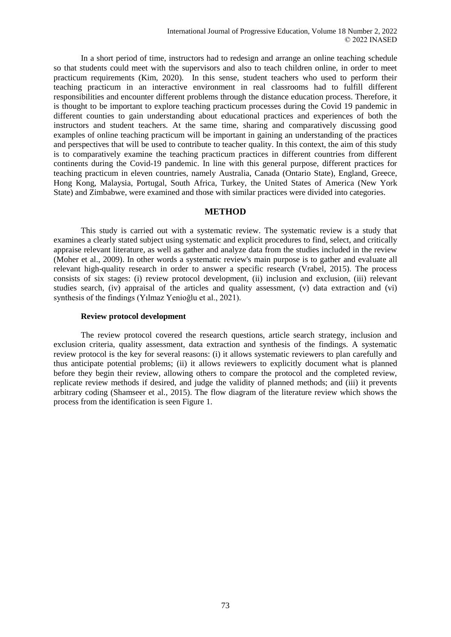In a short period of time, instructors had to redesign and arrange an online teaching schedule so that students could meet with the supervisors and also to teach children online, in order to meet practicum requirements (Kim, 2020). In this sense, student teachers who used to perform their teaching practicum in an interactive environment in real classrooms had to fulfill different responsibilities and encounter different problems through the distance education process. Therefore, it is thought to be important to explore teaching practicum processes during the Covid 19 pandemic in different counties to gain understanding about educational practices and experiences of both the instructors and student teachers. At the same time, sharing and comparatively discussing good examples of online teaching practicum will be important in gaining an understanding of the practices and perspectives that will be used to contribute to teacher quality. In this context, the aim of this study is to comparatively examine the teaching practicum practices in different countries from different continents during the Covid-19 pandemic. In line with this general purpose, different practices for teaching practicum in eleven countries, namely Australia, Canada (Ontario State), England, Greece, Hong Kong, Malaysia, Portugal, South Africa, Turkey, the United States of America (New York State) and Zimbabwe, were examined and those with similar practices were divided into categories.

## **METHOD**

This study is carried out with a systematic review. The systematic review is a study that examines a clearly stated subject using systematic and explicit procedures to find, select, and critically appraise relevant literature, as well as gather and analyze data from the studies included in the review (Moher et al., 2009). In other words a systematic review's main purpose is to gather and evaluate all relevant high-quality research in order to answer a specific research (Vrabel, 2015). The process consists of six stages: (i) review protocol development, (ii) inclusion and exclusion, (iii) relevant studies search, (iv) appraisal of the articles and quality assessment, (v) data extraction and (vi) synthesis of the findings (Yılmaz Yenioğlu et al., 2021).

### **Review protocol development**

The review protocol covered the research questions, article search strategy, inclusion and exclusion criteria, quality assessment, data extraction and synthesis of the findings. A systematic review protocol is the key for several reasons: (i) it allows systematic reviewers to plan carefully and thus anticipate potential problems; (ii) it allows reviewers to explicitly document what is planned before they begin their review, allowing others to compare the protocol and the completed review, replicate review methods if desired, and judge the validity of planned methods; and (iii) it prevents arbitrary coding (Shamseer et al., 2015). The flow diagram of the literature review which shows the process from the identification is seen Figure 1.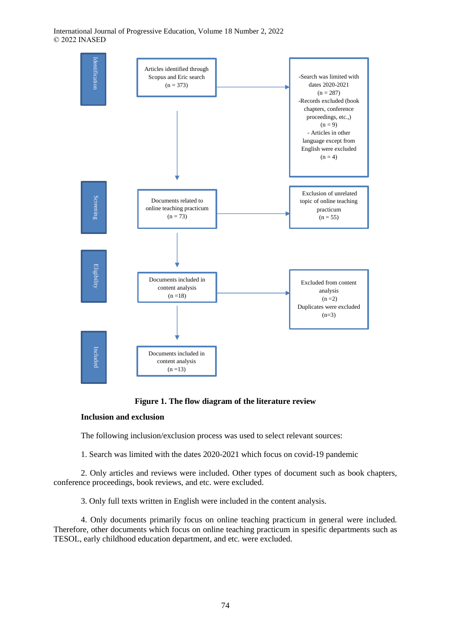International Journal of Progressive Education, Volume 18 Number 2, 2022 © 2022 INASED



**Figure 1. The flow diagram of the literature review**

## **Inclusion and exclusion**

The following inclusion/exclusion process was used to select relevant sources:

1. Search was limited with the dates 2020-2021 which focus on covid-19 pandemic

2. Only articles and reviews were included. Other types of document such as book chapters, conference proceedings, book reviews, and etc. were excluded.

3. Only full texts written in English were included in the content analysis.

4. Only documents primarily focus on online teaching practicum in general were included. Therefore, other documents which focus on online teaching practicum in spesific departments such as TESOL, early childhood education department, and etc. were excluded.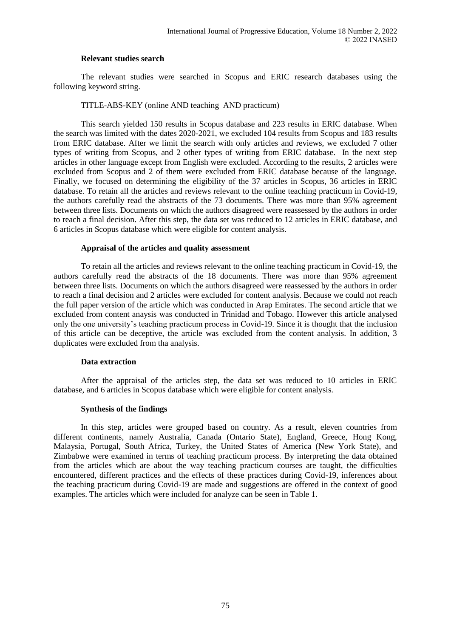## **Relevant studies search**

The relevant studies were searched in Scopus and ERIC research databases using the following keyword string.

## TITLE-ABS-KEY (online AND teaching AND practicum)

This search yielded 150 results in Scopus database and 223 results in ERIC database. When the search was limited with the dates 2020-2021, we excluded 104 results from Scopus and 183 results from ERIC database. After we limit the search with only articles and reviews, we excluded 7 other types of writing from Scopus, and 2 other types of writing from ERIC database. In the next step articles in other language except from English were excluded. According to the results, 2 articles were excluded from Scopus and 2 of them were excluded from ERIC database because of the language. Finally, we focused on determining the eligibility of the 37 articles in Scopus, 36 articles in ERIC database. To retain all the articles and reviews relevant to the online teaching practicum in Covid-19, the authors carefully read the abstracts of the 73 documents. There was more than 95% agreement between three lists. Documents on which the authors disagreed were reassessed by the authors in order to reach a final decision. After this step, the data set was reduced to 12 articles in ERIC database, and 6 articles in Scopus database which were eligible for content analysis.

## **Appraisal of the articles and quality assessment**

To retain all the articles and reviews relevant to the online teaching practicum in Covid-19, the authors carefully read the abstracts of the 18 documents. There was more than 95% agreement between three lists. Documents on which the authors disagreed were reassessed by the authors in order to reach a final decision and 2 articles were excluded for content analysis. Because we could not reach the full paper version of the article which was conducted in Arap Emirates. The second article that we excluded from content anaysis was conducted in Trinidad and Tobago. However this article analysed only the one university's teaching practicum process in Covid-19. Since it is thought that the inclusion of this article can be deceptive, the article was excluded from the content analysis. In addition, 3 duplicates were excluded from tha analysis.

## **Data extraction**

After the appraisal of the articles step, the data set was reduced to 10 articles in ERIC database, and 6 articles in Scopus database which were eligible for content analysis.

## **Synthesis of the findings**

In this step, articles were grouped based on country. As a result, eleven countries from different continents, namely Australia, Canada (Ontario State), England, Greece, Hong Kong, Malaysia, Portugal, South Africa, Turkey, the United States of America (New York State), and Zimbabwe were examined in terms of teaching practicum process. By interpreting the data obtained from the articles which are about the way teaching practicum courses are taught, the difficulties encountered, different practices and the effects of these practices during Covid-19, inferences about the teaching practicum during Covid-19 are made and suggestions are offered in the context of good examples. The articles which were included for analyze can be seen in Table 1.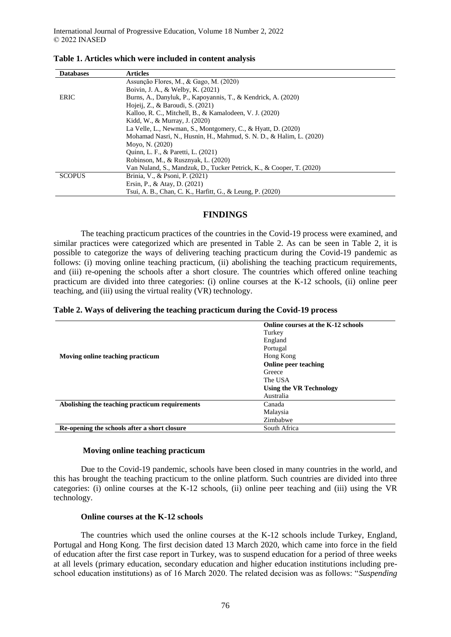| <b>Databases</b> | <b>Articles</b>                                                      |  |
|------------------|----------------------------------------------------------------------|--|
|                  | Assunção Flores, M., & Gago, M. (2020)                               |  |
|                  | Boivin, J. A., & Welby, K. (2021)                                    |  |
| <b>ERIC</b>      | Burns, A., Danyluk, P., Kapoyannis, T., & Kendrick, A. (2020)        |  |
|                  | Hojeij, Z., & Baroudi, S. (2021)                                     |  |
|                  | Kalloo, R. C., Mitchell, B., & Kamalodeen, V. J. (2020)              |  |
|                  | Kidd, W., & Murray, J. (2020)                                        |  |
|                  | La Velle, L., Newman, S., Montgomery, C., & Hyatt, D. (2020)         |  |
|                  | Mohamad Nasri, N., Husnin, H., Mahmud, S. N. D., & Halim, L. (2020)  |  |
|                  | Moyo, N. (2020)                                                      |  |
|                  | Quinn, L. F., & Paretti, L. (2021)                                   |  |
|                  | Robinson, M., & Rusznyak, L. (2020)                                  |  |
|                  | Van Nuland, S., Mandzuk, D., Tucker Petrick, K., & Cooper, T. (2020) |  |
| <b>SCOPUS</b>    | Brinia, V., & Psoni, P. (2021)                                       |  |
|                  | Ersin, P., & Atay, D. (2021)                                         |  |
|                  | Tsui, A. B., Chan, C. K., Harfitt, G., & Leung, P. (2020)            |  |

**Table 1. Articles which were included in content analysis**

## **FINDINGS**

The teaching practicum practices of the countries in the Covid-19 process were examined, and similar practices were categorized which are presented in Table 2. As can be seen in Table 2, it is possible to categorize the ways of delivering teaching practicum during the Covid-19 pandemic as follows: (i) moving online teaching practicum, (ii) abolishing the teaching practicum requirements, and (iii) re-opening the schools after a short closure. The countries which offered online teaching practicum are divided into three categories: (i) online courses at the K-12 schools, (ii) online peer teaching, and (iii) using the virtual reality (VR) technology.

|                                                | Online courses at the K-12 schools |
|------------------------------------------------|------------------------------------|
|                                                | Turkey                             |
|                                                | England                            |
|                                                | Portugal                           |
| Moving online teaching practicum               | Hong Kong                          |
|                                                | Online peer teaching               |
|                                                | Greece                             |
|                                                | The USA                            |
|                                                | <b>Using the VR Technology</b>     |
|                                                | Australia                          |
| Abolishing the teaching practicum requirements | Canada                             |
|                                                | Malaysia                           |
|                                                | Zimbabwe                           |
| Re-opening the schools after a short closure   | South Africa                       |

## **Moving online teaching practicum**

Due to the Covid-19 pandemic, schools have been closed in many countries in the world, and this has brought the teaching practicum to the online platform. Such countries are divided into three categories: (i) online courses at the K-12 schools, (ii) online peer teaching and (iii) using the VR technology.

## **Online courses at the K-12 schools**

The countries which used the online courses at the K-12 schools include Turkey, England, Portugal and Hong Kong. The first decision dated 13 March 2020, which came into force in the field of education after the first case report in Turkey, was to suspend education for a period of three weeks at all levels (primary education, secondary education and higher education institutions including preschool education institutions) as of 16 March 2020. The related decision was as follows: "*Suspending*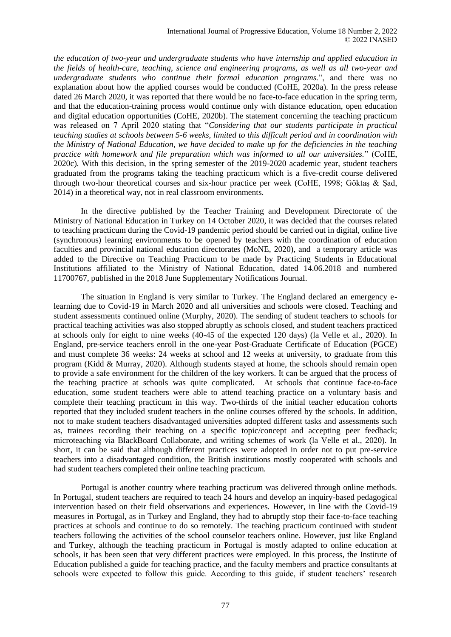*the education of two-year and undergraduate students who have internship and applied education in the fields of health-care, teaching, science and engineering programs, as well as all two-year and undergraduate students who continue their formal education programs.*", and there was no explanation about how the applied courses would be conducted (CoHE, 2020a). In the press release dated 26 March 2020, it was reported that there would be no face-to-face education in the spring term, and that the education-training process would continue only with distance education, open education and digital education opportunities (CoHE, 2020b). The statement concerning the teaching practicum was released on 7 April 2020 stating that "*Considering that our students participate in practical teaching studies at schools between 5-6 weeks, limited to this difficult period and in coordination with the Ministry of National Education, we have decided to make up for the deficiencies in the teaching practice with homework and file preparation which was informed to all our universities.*" (CoHE, 2020c). With this decision, in the spring semester of the 2019-2020 academic year, student teachers graduated from the programs taking the teaching practicum which is a five-credit course delivered through two-hour theoretical courses and six-hour practice per week (CoHE, 1998; Göktaş & Şad, 2014) in a theoretical way, not in real classroom environments.

In the directive published by the Teacher Training and Development Directorate of the Ministry of National Education in Turkey on 14 October 2020, it was decided that the courses related to teaching practicum during the Covid-19 pandemic period should be carried out in digital, online live (synchronous) learning environments to be opened by teachers with the coordination of education faculties and provincial national education directorates (MoNE, 2020), and a temporary article was added to the Directive on Teaching Practicum to be made by Practicing Students in Educational Institutions affiliated to the Ministry of National Education, dated 14.06.2018 and numbered 11700767, published in the 2018 June Supplementary Notifications Journal.

The situation in England is very similar to Turkey. The England declared an emergency elearning due to Covid-19 in March 2020 and all universities and schools were closed. Teaching and student assessments continued online (Murphy, 2020). The sending of student teachers to schools for practical teaching activities was also stopped abruptly as schools closed, and student teachers practiced at schools only for eight to nine weeks (40-45 of the expected 120 days) (la Velle et al., 2020). In England, pre-service teachers enroll in the one-year Post-Graduate Certificate of Education (PGCE) and must complete 36 weeks: 24 weeks at school and 12 weeks at university, to graduate from this program (Kidd & Murray, 2020). Although students stayed at home, the schools should remain open to provide a safe environment for the children of the key workers. It can be argued that the process of the teaching practice at schools was quite complicated. At schools that continue face-to-face education, some student teachers were able to attend teaching practice on a voluntary basis and complete their teaching practicum in this way. Two-thirds of the initial teacher education cohorts reported that they included student teachers in the online courses offered by the schools. In addition, not to make student teachers disadvantaged universities adopted different tasks and assessments such as, trainees recording their teaching on a specific topic/concept and accepting peer feedback; microteaching via BlackBoard Collaborate, and writing schemes of work (la Velle et al., 2020). In short, it can be said that although different practices were adopted in order not to put pre-service teachers into a disadvantaged condition, the British institutions mostly cooperated with schools and had student teachers completed their online teaching practicum.

Portugal is another country where teaching practicum was delivered through online methods. In Portugal, student teachers are required to teach 24 hours and develop an inquiry-based pedagogical intervention based on their field observations and experiences. However, in line with the Covid-19 measures in Portugal, as in Turkey and England, they had to abruptly stop their face-to-face teaching practices at schools and continue to do so remotely. The teaching practicum continued with student teachers following the activities of the school counselor teachers online. However, just like England and Turkey, although the teaching practicum in Portugal is mostly adapted to online education at schools, it has been seen that very different practices were employed. In this process, the Institute of Education published a guide for teaching practice, and the faculty members and practice consultants at schools were expected to follow this guide. According to this guide, if student teachers' research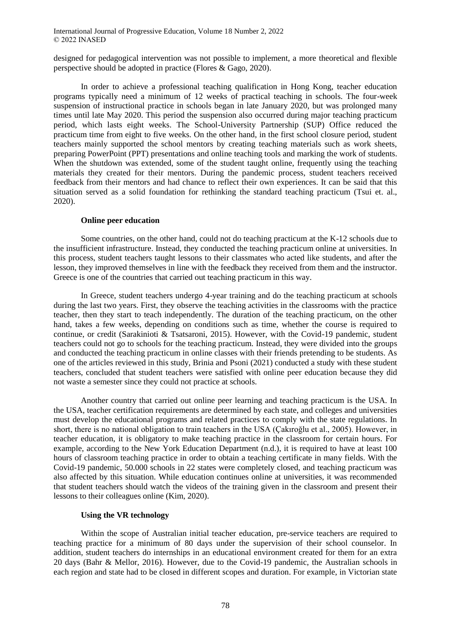designed for pedagogical intervention was not possible to implement, a more theoretical and flexible perspective should be adopted in practice (Flores & Gago, 2020).

In order to achieve a professional teaching qualification in Hong Kong, teacher education programs typically need a minimum of 12 weeks of practical teaching in schools. The four-week suspension of instructional practice in schools began in late January 2020, but was prolonged many times until late May 2020. This period the suspension also occurred during major teaching practicum period, which lasts eight weeks. The School-University Partnership (SUP) Office reduced the practicum time from eight to five weeks. On the other hand, in the first school closure period, student teachers mainly supported the school mentors by creating teaching materials such as work sheets, preparing PowerPoint (PPT) presentations and online teaching tools and marking the work of students. When the shutdown was extended, some of the student taught online, frequently using the teaching materials they created for their mentors. During the pandemic process, student teachers received feedback from their mentors and had chance to reflect their own experiences. It can be said that this situation served as a solid foundation for rethinking the standard teaching practicum (Tsui et. al., 2020).

### **Online peer education**

Some countries, on the other hand, could not do teaching practicum at the K-12 schools due to the insufficient infrastructure. Instead, they conducted the teaching practicum online at universities. In this process, student teachers taught lessons to their classmates who acted like students, and after the lesson, they improved themselves in line with the feedback they received from them and the instructor. Greece is one of the countries that carried out teaching practicum in this way.

In Greece, student teachers undergo 4-year training and do the teaching practicum at schools during the last two years. First, they observe the teaching activities in the classrooms with the practice teacher, then they start to teach independently. The duration of the teaching practicum, on the other hand, takes a few weeks, depending on conditions such as time, whether the course is required to continue, or credit (Sarakinioti & Tsatsaroni, 2015). However, with the Covid-19 pandemic, student teachers could not go to schools for the teaching practicum. Instead, they were divided into the groups and conducted the teaching practicum in online classes with their friends pretending to be students. As one of the articles reviewed in this study, Brinia and Psoni (2021) conducted a study with these student teachers, concluded that student teachers were satisfied with online peer education because they did not waste a semester since they could not practice at schools.

Another country that carried out online peer learning and teaching practicum is the USA. In the USA, teacher certification requirements are determined by each state, and colleges and universities must develop the educational programs and related practices to comply with the state regulations. In short, there is no national obligation to train teachers in the USA (Çakıroğlu et al., 2005). However, in teacher education, it is obligatory to make teaching practice in the classroom for certain hours. For example, according to the New York Education Department (n.d.), it is required to have at least 100 hours of classroom teaching practice in order to obtain a teaching certificate in many fields. With the Covid-19 pandemic, 50.000 schools in 22 states were completely closed, and teaching practicum was also affected by this situation. While education continues online at universities, it was recommended that student teachers should watch the videos of the training given in the classroom and present their lessons to their colleagues online (Kim, 2020).

### **Using the VR technology**

Within the scope of Australian initial teacher education, pre-service teachers are required to teaching practice for a minimum of 80 days under the supervision of their school counselor. In addition, student teachers do internships in an educational environment created for them for an extra 20 days (Bahr & Mellor, 2016). However, due to the Covid-19 pandemic, the Australian schools in each region and state had to be closed in different scopes and duration. For example, in Victorian state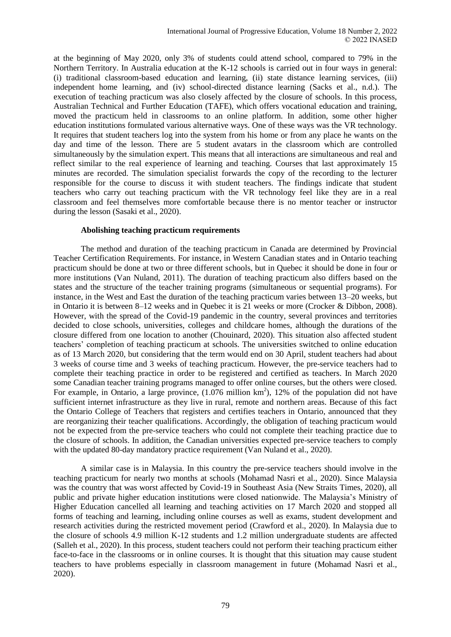at the beginning of May 2020, only 3% of students could attend school, compared to 79% in the Northern Territory. In Australia education at the K-12 schools is carried out in four ways in general: (i) traditional classroom-based education and learning, (ii) state distance learning services, (iii) independent home learning, and (iv) school-directed distance learning (Sacks et al., n.d.). The execution of teaching practicum was also closely affected by the closure of schools. In this process, Australian Technical and Further Education (TAFE), which offers vocational education and training, moved the practicum held in classrooms to an online platform. In addition, some other higher education institutions formulated various alternative ways. One of these ways was the VR technology. It requires that student teachers log into the system from his home or from any place he wants on the day and time of the lesson. There are 5 student avatars in the classroom which are controlled simultaneously by the simulation expert. This means that all interactions are simultaneous and real and reflect similar to the real experience of learning and teaching. Courses that last approximately 15 minutes are recorded. The simulation specialist forwards the copy of the recording to the lecturer responsible for the course to discuss it with student teachers. The findings indicate that student teachers who carry out teaching practicum with the VR technology feel like they are in a real classroom and feel themselves more comfortable because there is no mentor teacher or instructor during the lesson (Sasaki et al., 2020).

### **Abolishing teaching practicum requirements**

The method and duration of the teaching practicum in Canada are determined by Provincial Teacher Certification Requirements. For instance, in Western Canadian states and in Ontario teaching practicum should be done at two or three different schools, but in Quebec it should be done in four or more institutions (Van Nuland, 2011). The duration of teaching practicum also differs based on the states and the structure of the teacher training programs (simultaneous or sequential programs). For instance, in the West and East the duration of the teaching practicum varies between 13–20 weeks, but in Ontario it is between 8–12 weeks and in Quebec it is 21 weeks or more (Crocker & Dibbon, 2008). However, with the spread of the Covid-19 pandemic in the country, several provinces and territories decided to close schools, universities, colleges and childcare homes, although the durations of the closure differed from one location to another (Chouinard, 2020). This situation also affected student teachers' completion of teaching practicum at schools. The universities switched to online education as of 13 March 2020, but considering that the term would end on 30 April, student teachers had about 3 weeks of course time and 3 weeks of teaching practicum. However, the pre-service teachers had to complete their teaching practice in order to be registered and certified as teachers. In March 2020 some Canadian teacher training programs managed to offer online courses, but the others were closed. For example, in Ontario, a large province,  $(1.076 \text{ million km}^2)$ , 12% of the population did not have sufficient internet infrastructure as they live in rural, remote and northern areas. Because of this fact the Ontario College of Teachers that registers and certifies teachers in Ontario, announced that they are reorganizing their teacher qualifications. Accordingly, the obligation of teaching practicum would not be expected from the pre-service teachers who could not complete their teaching practice due to the closure of schools. In addition, the Canadian universities expected pre-service teachers to comply with the updated 80-day mandatory practice requirement (Van Nuland et al., 2020).

A similar case is in Malaysia. In this country the pre-service teachers should involve in the teaching practicum for nearly two months at schools (Mohamad Nasri et al., 2020). Since Malaysia was the country that was worst affected by Covid-19 in Southeast Asia (New Straits Times, 2020), all public and private higher education institutions were closed nationwide. The Malaysia's Ministry of Higher Education cancelled all learning and teaching activities on 17 March 2020 and stopped all forms of teaching and learning, including online courses as well as exams, student development and research activities during the restricted movement period (Crawford et al., 2020). In Malaysia due to the closure of schools 4.9 million K-12 students and 1.2 million undergraduate students are affected (Salleh et al., 2020). In this process, student teachers could not perform their teaching practicum either face-to-face in the classrooms or in online courses. It is thought that this situation may cause student teachers to have problems especially in classroom management in future (Mohamad Nasri et al., 2020).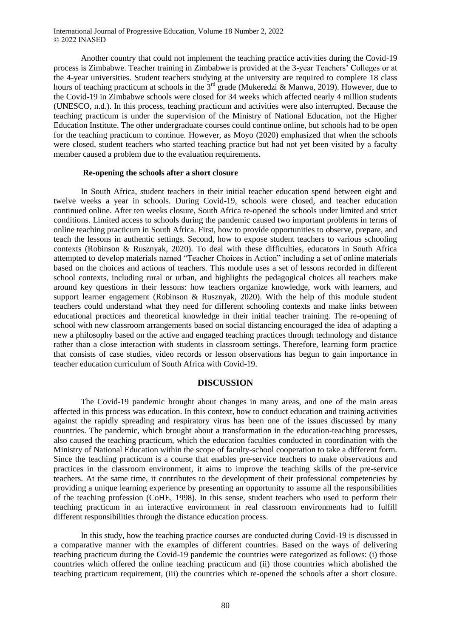Another country that could not implement the teaching practice activities during the Covid-19 process is Zimbabwe. Teacher training in Zimbabwe is provided at the 3-year Teachers' Colleges or at the 4-year universities. Student teachers studying at the university are required to complete 18 class hours of teaching practicum at schools in the  $3<sup>rd</sup>$  grade (Mukeredzi & Manwa, 2019). However, due to the Covid-19 in Zimbabwe schools were closed for 34 weeks which affected nearly 4 million students (UNESCO, n.d.). In this process, teaching practicum and activities were also interrupted. Because the teaching practicum is under the supervision of the Ministry of National Education, not the Higher Education Institute. The other undergraduate courses could continue online, but schools had to be open for the teaching practicum to continue. However, as Moyo (2020) emphasized that when the schools were closed, student teachers who started teaching practice but had not yet been visited by a faculty member caused a problem due to the evaluation requirements.

### **Re-opening the schools after a short closure**

In South Africa, student teachers in their initial teacher education spend between eight and twelve weeks a year in schools. During Covid-19, schools were closed, and teacher education continued online. After ten weeks closure, South Africa re-opened the schools under limited and strict conditions. Limited access to schools during the pandemic caused two important problems in terms of online teaching practicum in South Africa. First, how to provide opportunities to observe, prepare, and teach the lessons in authentic settings. Second, how to expose student teachers to various schooling contexts (Robinson & Rusznyak, 2020). To deal with these difficulties, educators in South Africa attempted to develop materials named "Teacher Choices in Action" including a set of online materials based on the choices and actions of teachers. This module uses a set of lessons recorded in different school contexts, including rural or urban, and highlights the pedagogical choices all teachers make around key questions in their lessons: how teachers organize knowledge, work with learners, and support learner engagement (Robinson & Rusznyak, 2020). With the help of this module student teachers could understand what they need for different schooling contexts and make links between educational practices and theoretical knowledge in their initial teacher training. The re-opening of school with new classroom arrangements based on social distancing encouraged the idea of adapting a new a philosophy based on the active and engaged teaching practices through technology and distance rather than a close interaction with students in classroom settings. Therefore, learning form practice that consists of case studies, video records or lesson observations has begun to gain importance in teacher education curriculum of South Africa with Covid-19.

### **DISCUSSION**

The Covid-19 pandemic brought about changes in many areas, and one of the main areas affected in this process was education. In this context, how to conduct education and training activities against the rapidly spreading and respiratory virus has been one of the issues discussed by many countries. The pandemic, which brought about a transformation in the education-teaching processes, also caused the teaching practicum, which the education faculties conducted in coordination with the Ministry of National Education within the scope of faculty-school cooperation to take a different form. Since the teaching practicum is a course that enables pre-service teachers to make observations and practices in the classroom environment, it aims to improve the teaching skills of the pre-service teachers. At the same time, it contributes to the development of their professional competencies by providing a unique learning experience by presenting an opportunity to assume all the responsibilities of the teaching profession (CoHE, 1998). In this sense, student teachers who used to perform their teaching practicum in an interactive environment in real classroom environments had to fulfill different responsibilities through the distance education process.

In this study, how the teaching practice courses are conducted during Covid-19 is discussed in a comparative manner with the examples of different countries. Based on the ways of delivering teaching practicum during the Covid-19 pandemic the countries were categorized as follows: (i) those countries which offered the online teaching practicum and (ii) those countries which abolished the teaching practicum requirement, (iii) the countries which re-opened the schools after a short closure.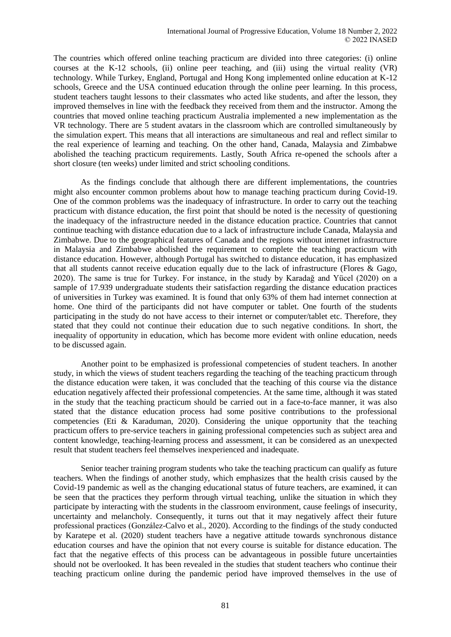The countries which offered online teaching practicum are divided into three categories: (i) online courses at the K-12 schools, (ii) online peer teaching, and (iii) using the virtual reality (VR) technology. While Turkey, England, Portugal and Hong Kong implemented online education at K-12 schools, Greece and the USA continued education through the online peer learning. In this process, student teachers taught lessons to their classmates who acted like students, and after the lesson, they improved themselves in line with the feedback they received from them and the instructor. Among the countries that moved online teaching practicum Australia implemented a new implementation as the VR technology. There are 5 student avatars in the classroom which are controlled simultaneously by the simulation expert. This means that all interactions are simultaneous and real and reflect similar to the real experience of learning and teaching. On the other hand, Canada, Malaysia and Zimbabwe abolished the teaching practicum requirements. Lastly, South Africa re-opened the schools after a short closure (ten weeks) under limited and strict schooling conditions.

As the findings conclude that although there are different implementations, the countries might also encounter common problems about how to manage teaching practicum during Covid-19. One of the common problems was the inadequacy of infrastructure. In order to carry out the teaching practicum with distance education, the first point that should be noted is the necessity of questioning the inadequacy of the infrastructure needed in the distance education practice. Countries that cannot continue teaching with distance education due to a lack of infrastructure include Canada, Malaysia and Zimbabwe. Due to the geographical features of Canada and the regions without internet infrastructure in Malaysia and Zimbabwe abolished the requirement to complete the teaching practicum with distance education. However, although Portugal has switched to distance education, it has emphasized that all students cannot receive education equally due to the lack of infrastructure (Flores & Gago, 2020). The same is true for Turkey. For instance, in the study by Karadağ and Yücel (2020) on a sample of 17.939 undergraduate students their satisfaction regarding the distance education practices of universities in Turkey was examined. It is found that only 63% of them had internet connection at home. One third of the participants did not have computer or tablet. One fourth of the students participating in the study do not have access to their internet or computer/tablet etc. Therefore, they stated that they could not continue their education due to such negative conditions. In short, the inequality of opportunity in education, which has become more evident with online education, needs to be discussed again.

Another point to be emphasized is professional competencies of student teachers. In another study, in which the views of student teachers regarding the teaching of the teaching practicum through the distance education were taken, it was concluded that the teaching of this course via the distance education negatively affected their professional competencies. At the same time, although it was stated in the study that the teaching practicum should be carried out in a face-to-face manner, it was also stated that the distance education process had some positive contributions to the professional competencies (Eti & Karaduman, 2020). Considering the unique opportunity that the teaching practicum offers to pre-service teachers in gaining professional competencies such as subject area and content knowledge, teaching-learning process and assessment, it can be considered as an unexpected result that student teachers feel themselves inexperienced and inadequate.

Senior teacher training program students who take the teaching practicum can qualify as future teachers. When the findings of another study, which emphasizes that the health crisis caused by the Covid-19 pandemic as well as the changing educational status of future teachers, are examined, it can be seen that the practices they perform through virtual teaching, unlike the situation in which they participate by interacting with the students in the classroom environment, cause feelings of insecurity, uncertainty and melancholy. Consequently, it turns out that it may negatively affect their future professional practices (González-Calvo et al., 2020). According to the findings of the study conducted by Karatepe et al. (2020) student teachers have a negative attitude towards synchronous distance education courses and have the opinion that not every course is suitable for distance education. The fact that the negative effects of this process can be advantageous in possible future uncertainties should not be overlooked. It has been revealed in the studies that student teachers who continue their teaching practicum online during the pandemic period have improved themselves in the use of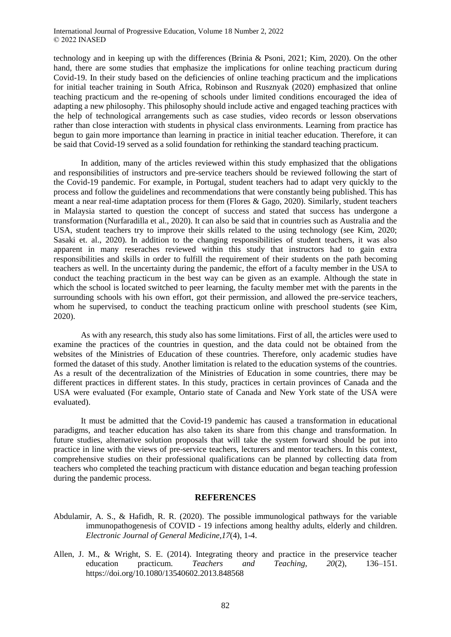technology and in keeping up with the differences (Brinia & Psoni, 2021; Kim, 2020). On the other hand, there are some studies that emphasize the implications for online teaching practicum during Covid-19. In their study based on the deficiencies of online teaching practicum and the implications for initial teacher training in South Africa, Robinson and Rusznyak (2020) emphasized that online teaching practicum and the re-opening of schools under limited conditions encouraged the idea of adapting a new philosophy. This philosophy should include active and engaged teaching practices with the help of technological arrangements such as case studies, video records or lesson observations rather than close interaction with students in physical class environments. Learning from practice has begun to gain more importance than learning in practice in initial teacher education. Therefore, it can be said that Covid-19 served as a solid foundation for rethinking the standard teaching practicum.

In addition, many of the articles reviewed within this study emphasized that the obligations and responsibilities of instructors and pre-service teachers should be reviewed following the start of the Covid-19 pandemic. For example, in Portugal, student teachers had to adapt very quickly to the process and follow the guidelines and recommendations that were constantly being published. This has meant a near real-time adaptation process for them (Flores & Gago, 2020). Similarly, student teachers in Malaysia started to question the concept of success and stated that success has undergone a transformation (Nurfaradilla et al., 2020). It can also be said that in countries such as Australia and the USA, student teachers try to improve their skills related to the using technology (see Kim, 2020; Sasaki et. al., 2020). In addition to the changing responsibilities of student teachers, it was also apparent in many reseraches reviewed within this study that instructors had to gain extra responsibilities and skills in order to fulfill the requirement of their students on the path becoming teachers as well. In the uncertainty during the pandemic, the effort of a faculty member in the USA to conduct the teaching practicum in the best way can be given as an example. Although the state in which the school is located switched to peer learning, the faculty member met with the parents in the surrounding schools with his own effort, got their permission, and allowed the pre-service teachers, whom he supervised, to conduct the teaching practicum online with preschool students (see Kim, 2020).

As with any research, this study also has some limitations. First of all, the articles were used to examine the practices of the countries in question, and the data could not be obtained from the websites of the Ministries of Education of these countries. Therefore, only academic studies have formed the dataset of this study. Another limitation is related to the education systems of the countries. As a result of the decentralization of the Ministries of Education in some countries, there may be different practices in different states. In this study, practices in certain provinces of Canada and the USA were evaluated (For example, Ontario state of Canada and New York state of the USA were evaluated).

It must be admitted that the Covid-19 pandemic has caused a transformation in educational paradigms, and teacher education has also taken its share from this change and transformation. In future studies, alternative solution proposals that will take the system forward should be put into practice in line with the views of pre-service teachers, lecturers and mentor teachers. In this context, comprehensive studies on their professional qualifications can be planned by collecting data from teachers who completed the teaching practicum with distance education and began teaching profession during the pandemic process.

## **REFERENCES**

- Abdulamir, A. S., & Hafidh, R. R. (2020). The possible immunological pathways for the variable immunopathogenesis of COVID - 19 infections among healthy adults, elderly and children. *Electronic Journal of General Medicine,17*(4), 1-4.
- Allen, J. M., & Wright, S. E. (2014). Integrating theory and practice in the preservice teacher education practicum. *Teachers and Teaching, 20*(2), 136–151. https://doi.org/10.1080/13540602.2013.848568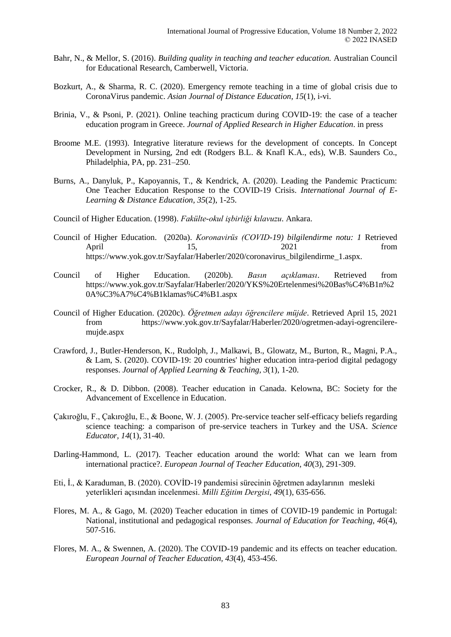- Bahr, N., & Mellor, S. (2016). *Building quality in teaching and teacher education.* Australian Council for Educational Research, Camberwell, Victoria.
- Bozkurt, A., & Sharma, R. C. (2020). Emergency remote teaching in a time of global crisis due to CoronaVirus pandemic. *Asian Journal of Distance Education, 15*(1), i-vi.
- Brinia, V., & Psoni, P. (2021). Online teaching practicum during COVID-19: the case of a teacher education program in Greece. *Journal of Applied Research in Higher Education*. in press
- Broome M.E. (1993). Integrative literature reviews for the development of concepts. In Concept Development in Nursing, 2nd edt (Rodgers B.L. & Knafl K.A., eds), W.B. Saunders Co., Philadelphia, PA, pp. 231–250.
- Burns, A., Danyluk, P., Kapoyannis, T., & Kendrick, A. (2020). Leading the Pandemic Practicum: One Teacher Education Response to the COVID-19 Crisis. *International Journal of E-Learning & Distance Education, 35*(2), 1-25.
- Council of Higher Education. (1998). *Fakülte-okul işbirliği kılavuzu*. Ankara.
- Council of Higher Education. (2020a). *Koronavirüs (COVID-19) bilgilendirme notu: 1* Retrieved April 15, 2021 from https://www.yok.gov.tr/Sayfalar/Haberler/2020/coronavirus\_bilgilendirme\_1.aspx.
- Council of Higher Education. (2020b). *Basın açıklaması*. Retrieved from https://www.yok.gov.tr/Sayfalar/Haberler/2020/YKS%20Ertelenmesi%20Bas%C4%B1n%2 0A%C3%A7%C4%B1klamas%C4%B1.aspx
- Council of Higher Education. (2020c). *Öğretmen adayı öğrencilere müjde*. Retrieved April 15, 2021 from https://www.yok.gov.tr/Sayfalar/Haberler/2020/ogretmen-adayi-ogrencileremujde.aspx
- Crawford, J., Butler-Henderson, K., Rudolph, J., Malkawi, B., Glowatz, M., Burton, R., Magni, P.A., & Lam, S. (2020). COVID-19: 20 countries' higher education intra-period digital pedagogy responses. *Journal of Applied Learning & Teaching, 3*(1), 1-20.
- Crocker, R., & D. Dibbon. (2008). Teacher education in Canada. Kelowna, BC: Society for the Advancement of Excellence in Education.
- Çakıroğlu, F., Çakıroğlu, E., & Boone, W. J. (2005). Pre-service teacher self-efficacy beliefs regarding science teaching: a comparison of pre-service teachers in Turkey and the USA. *Science Educator, 14*(1), 31-40.
- Darling-Hammond, L. (2017). Teacher education around the world: What can we learn from international practice?. *European Journal of Teacher Education, 40*(3), 291-309.
- Eti, İ., & Karaduman, B. (2020). COVİD-19 pandemisi sürecinin öğretmen adaylarının mesleki yeterlikleri açısından incelenmesi. *Milli Eğitim Dergisi*, *49*(1), 635-656.
- Flores, M. A., & Gago, M. (2020) Teacher education in times of COVID-19 pandemic in Portugal: National, institutional and pedagogical responses. *Journal of Education for Teaching, 46*(4), 507-516.
- Flores, M. A., & Swennen, A. (2020). The COVID-19 pandemic and its effects on teacher education. *European Journal of Teacher Education, 43*(4), 453-456.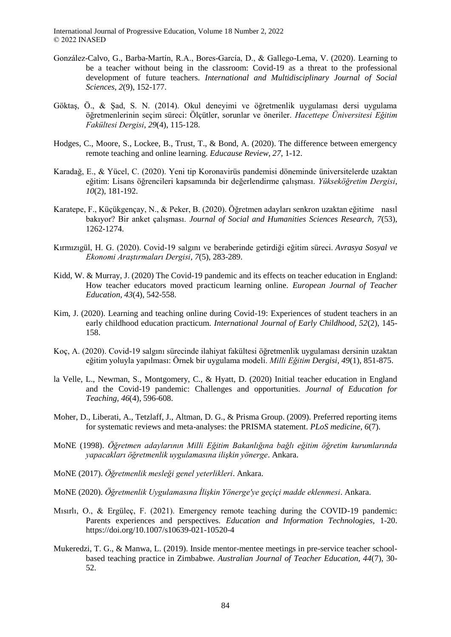- González-Calvo, G., Barba-Martín, R.A., Bores-García, D., & Gallego-Lema, V. (2020). Learning to be a teacher without being in the classroom: Covid-19 as a threat to the professional development of future teachers. *International and Multidisciplinary Journal of Social Sciences*, *2*(9), 152-177.
- Göktaş, Ö., & Şad, S. N. (2014). Okul deneyimi ve öğretmenlik uygulaması dersi uygulama öğretmenlerinin seçim süreci: Ölçütler, sorunlar ve öneriler. *Hacettepe Üniversitesi Eğitim Fakültesi Dergisi*, *29*(4), 115-128.
- Hodges, C., Moore, S., Lockee, B., Trust, T., & Bond, A. (2020). The difference between emergency remote teaching and online learning. *Educause Review, 27*, 1-12.
- Karadağ, E., & Yücel, C. (2020). Yeni tip Koronavirüs pandemisi döneminde üniversitelerde uzaktan eğitim: Lisans öğrencileri kapsamında bir değerlendirme çalışması. *Yükseköğretim Dergisi*, *10*(2), 181-192.
- Karatepe, F., Küçükgençay, N., & Peker, B. (2020). Öğretmen adayları senkron uzaktan eğitime nasıl bakıyor? Bir anket çalışması. *Journal of Social and Humanities Sciences Research, 7*(53), 1262-1274.
- Kırmızıgül, H. G. (2020). Covid-19 salgını ve beraberinde getirdiği eğitim süreci. *Avrasya Sosyal ve Ekonomi Araştırmaları Dergisi*, *7*(5), 283-289.
- Kidd, W. & Murray, J. (2020) The Covid-19 pandemic and its effects on teacher education in England: How teacher educators moved practicum learning online. *European Journal of Teacher Education, 43*(4), 542-558.
- Kim, J. (2020). Learning and teaching online during Covid-19: Experiences of student teachers in an early childhood education practicum. *International Journal of Early Childhood, 52*(2), 145- 158.
- Koç, A. (2020). Covid-19 salgını sürecinde ilahiyat fakültesi öğretmenlik uygulaması dersinin uzaktan eğitim yoluyla yapılması: Örnek bir uygulama modeli. *Milli Eğitim Dergisi*, *49*(1), 851-875.
- la Velle, L., Newman, S., Montgomery, C., & Hyatt, D. (2020) Initial teacher education in England and the Covid-19 pandemic: Challenges and opportunities. *Journal of Education for Teaching, 46*(4), 596-608.
- Moher, D., Liberati, A., Tetzlaff, J., Altman, D. G., & Prisma Group. (2009). Preferred reporting items for systematic reviews and meta-analyses: the PRISMA statement. *PLoS medicine, 6*(7).
- MoNE (1998). *Öğretmen adaylarının Milli Eğitim Bakanlığına bağlı eğitim öğretim kurumlarında yapacakları öğretmenlik uygulamasına ilişkin yönerge*. Ankara.
- MoNE (2017). *Öğretmenlik mesleği genel yeterlikleri*. Ankara.
- MoNE (2020). *Öğretmenlik Uygulamasına İlişkin Yönerge'ye geçiçi madde eklenmesi*. Ankara.
- Mısırlı, O., & Ergüleç, F. (2021). Emergency remote teaching during the COVID-19 pandemic: Parents experiences and perspectives. *Education and Information Technologies*, 1-20. https://doi.org/10.1007/s10639-021-10520-4
- Mukeredzi, T. G., & Manwa, L. (2019). Inside mentor-mentee meetings in pre-service teacher schoolbased teaching practice in Zimbabwe. *Australian Journal of Teacher Education, 44*(7), 30- 52.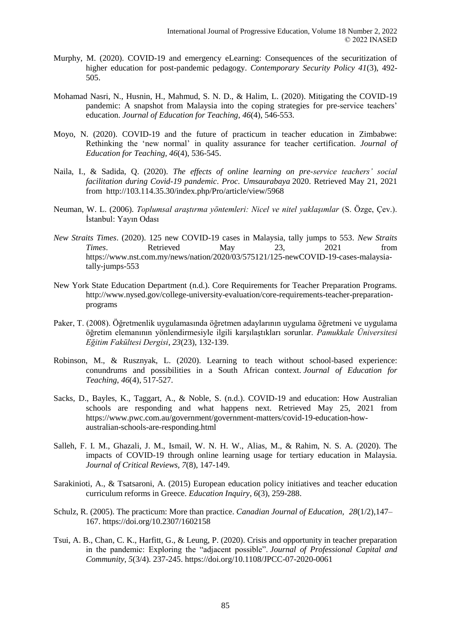- Murphy, M. (2020). COVID-19 and emergency eLearning: Consequences of the securitization of higher education for post-pandemic pedagogy. *Contemporary Security Policy 41*(3), 492- 505.
- Mohamad Nasri, N., Husnin, H., Mahmud, S. N. D., & Halim, L. (2020). Mitigating the COVID-19 pandemic: A snapshot from Malaysia into the coping strategies for pre-service teachers' education. *Journal of Education for Teaching, 46*(4), 546-553.
- Moyo, N. (2020). COVID-19 and the future of practicum in teacher education in Zimbabwe: Rethinking the 'new normal' in quality assurance for teacher certification. *Journal of Education for Teaching, 46*(4), 536-545.
- Naila, I., & Sadida, Q. (2020). *The effects of online learning on pre-service teachers' social facilitation during Covid-19 pandemic*. *Proc. Umsaurabaya* 2020. Retrieved May 21, 2021 from http://103.114.35.30/index.php/Pro/article/view/5968
- Neuman, W. L. (2006). *Toplumsal araştırma yöntemleri: Nicel ve nitel yaklaşımlar* (S. Özge, Çev.). İstanbul: Yayın Odası
- *New Straits Times*. (2020). 125 new COVID-19 cases in Malaysia, tally jumps to 553. *New Straits Times*. Retrieved May 23, 2021 from https://www.nst.com.my/news/nation/2020/03/575121/125-newCOVID-19-cases-malaysiatally-jumps-553
- New York State Education Department (n.d.). Core Requirements for Teacher Preparation Programs. http://www.nysed.gov/college-university-evaluation/core-requirements-teacher-preparationprograms
- Paker, T. (2008). Öğretmenlik uygulamasında öğretmen adaylarının uygulama öğretmeni ve uygulama öğretim elemanının yönlendirmesiyle ilgili karşılaştıkları sorunlar. *Pamukkale Üniversitesi Eğitim Fakültesi Dergisi*, *23*(23), 132-139.
- Robinson, M., & Rusznyak, L. (2020). Learning to teach without school-based experience: conundrums and possibilities in a South African context. *Journal of Education for Teaching*, *46*(4), 517-527.
- Sacks, D., Bayles, K., Taggart, A., & Noble, S. (n.d.). COVID-19 and education: How Australian schools are responding and what happens next. Retrieved May 25, 2021 from https://www.pwc.com.au/government/government-matters/covid-19-education-howaustralian-schools-are-responding.html
- Salleh, F. I. M., Ghazali, J. M., Ismail, W. N. H. W., Alias, M., & Rahim, N. S. A. (2020). The impacts of COVID-19 through online learning usage for tertiary education in Malaysia. *Journal of Critical Reviews, 7*(8), 147-149.
- Sarakinioti, A., & Tsatsaroni, A. (2015) European education policy initiatives and teacher education curriculum reforms in Greece. *Education Inquiry, 6*(3), 259-288.
- Schulz, R. (2005). The practicum: More than practice. *Canadian Journal of Education, 28*(1/2),147– 167.<https://doi.org/10.2307/1602158>
- Tsui, A. B., Chan, C. K., Harfitt, G., & Leung, P. (2020). Crisis and opportunity in teacher preparation in the pandemic: Exploring the "adjacent possible". *Journal of Professional Capital and Community, 5*(3/4). 237-245. https://doi.org/10.1108/JPCC-07-2020-0061